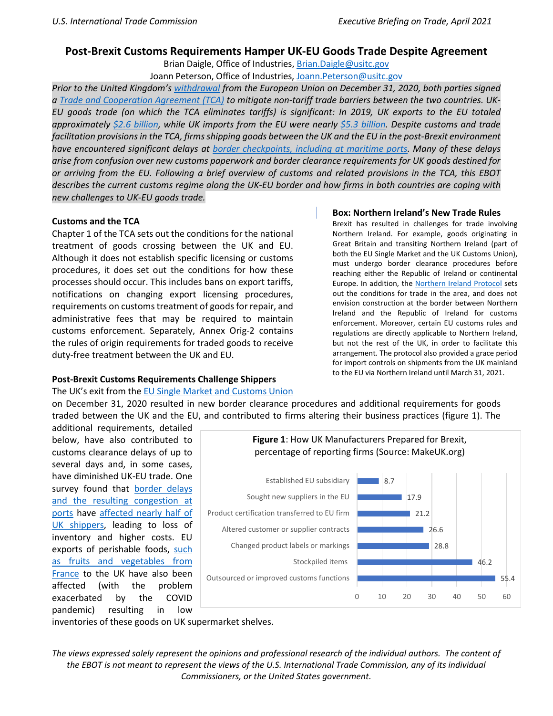## **Post-Brexit Customs Requirements Hamper UK-EU Goods Trade Despite Agreement**

Brian Daigle, Office of Industries, [Brian.Daigle@usitc.gov](mailto:Brian.Daigle@usitc.gov)

Joann Peterson, Office of Industries[, Joann.Peterson@usitc.gov](mailto:Joann.Peterson@usitc.gov)

*Prior to the United Kingdom's [withdrawal](https://ec.europa.eu/info/relations-united-kingdom/eu-uk-withdrawal-agreement_en) from the European Union on December 31, 2020, both parties signed a [Trade and Cooperation Agreement \(TCA\)](https://ec.europa.eu/info/relations-united-kingdom/eu-uk-trade-and-cooperation-agreement_en) to mitigate non-tariff trade barriers between the two countries. UK-EU goods trade (on which the TCA eliminates tariffs) is significant: In 2019, UK exports to the EU totaled approximately [\\$2.6 billion,](https://researchbriefings.files.parliament.uk/documents/CBP-7851/CBP-07851online.xlsx) while UK imports from the EU were nearly [\\$5.3 billion.](https://www.exchange-rates.org/converter/GBP/USD/3854000000) Despite customs and trade facilitation provisions in the TCA, firms shipping goods between the UK and the EU in the post-Brexit environment have encountered significant delays at [border checkpoints, including at maritime ports.](https://www.lloydsloadinglist.com/freight-directory/news/UK-EU-border-freight-problems-persist-%E2%80%93-and-may-worsen/78309.htm?cl=article_1&elqTrack=true&mc_cid=25e2b51ac2&mc_eid=36d0f17516#.YBv6q2apW-w) Many of these delays arise from confusion over new customs paperwork and border clearance requirements for UK goods destined for or arriving from the EU. Following a brief overview of customs and related provisions in the TCA, this EBOT describes the current customs regime along the UK-EU border and how firms in both countries are coping with new challenges to UK-EU goods trade.*

### **Customs and the TCA**

Chapter 1 of the TCA sets out the conditions for the national treatment of goods crossing between the UK and EU. Although it does not establish specific licensing or customs procedures, it does set out the conditions for how these processes should occur. This includes bans on export tariffs, notifications on changing export licensing procedures, requirements on customs treatment of goods for repair, and administrative fees that may be required to maintain customs enforcement. Separately, Annex Orig-2 contains the rules of origin requirements for traded goods to receive duty-free treatment between the UK and EU.

# **Post-Brexit Customs Requirements Challenge Shippers**

#### The UK's exit from the [EU Single Market and Customs Union](https://ec.europa.eu/taxation_customs/sites/taxation/files/facts_figures_en.pdf)

#### **Box: Northern Ireland's New Trade Rules**

Brexit has resulted in challenges for trade involving Northern Ireland. For example, goods originating in Great Britain and transiting Northern Ireland (part of both the EU Single Market and the UK Customs Union), must undergo border clearance procedures before reaching either the Republic of Ireland or continental Europe. In addition, the [Northern Ireland](https://www.makeuk.org/services/eu-hub/moving-goods-from-gb-to-northern-ireland) Protocol sets out the conditions for trade in the area, and does not envision construction at the border between Northern Ireland and the Republic of Ireland for customs enforcement. Moreover, certain EU customs rules and regulations are directly applicable to Northern Ireland, but not the rest of the UK, in order to facilitate this arrangement. The protocol also provided a grace period for import controls on shipments from the UK mainland to the EU via Northern Ireland until March 31, 2021.

on December 31, 2020 resulted in new border clearance procedures and additional requirements for goods traded between the UK and the EU, and contributed to firms altering their business practices (figure 1). The

additional requirements, detailed below, have also contributed to customs clearance delays of up to several days and, in some cases, have diminished UK-EU trade. One survey found that [border delays](https://www.bloomberg.com/news/articles/2021-01-15/stuck-in-kent-how-brexit-red-tape-strangled-cross-border-trade) [and the resulting congestion at](https://www.bloomberg.com/news/articles/2021-01-15/stuck-in-kent-how-brexit-red-tape-strangled-cross-border-trade)  [ports](https://www.bloomberg.com/news/articles/2021-01-15/stuck-in-kent-how-brexit-red-tape-strangled-cross-border-trade) have [affected nearly half of](https://www.ft.com/content/d45db971-caea-4524-aef3-b62aced20555)  [UK shippers,](https://www.ft.com/content/d45db971-caea-4524-aef3-b62aced20555) leading to loss of inventory and higher costs. EU exports of perishable foods, such [as fruits and vegetables](https://www.npr.org/2021/01/23/959884103/french-wholesale-food-market-struggles-to-send-food-to-uk-post-brexit) from [France](https://www.npr.org/2021/01/23/959884103/french-wholesale-food-market-struggles-to-send-food-to-uk-post-brexit) to the UK have also been affected (with the problem exacerbated by the COVID pandemic) resulting in low



inventories of these goods on UK supermarket shelves.

*The views expressed solely represent the opinions and professional research of the individual authors. The content of the EBOT is not meant to represent the views of the U.S. International Trade Commission, any of its individual Commissioners, or the United States government.*